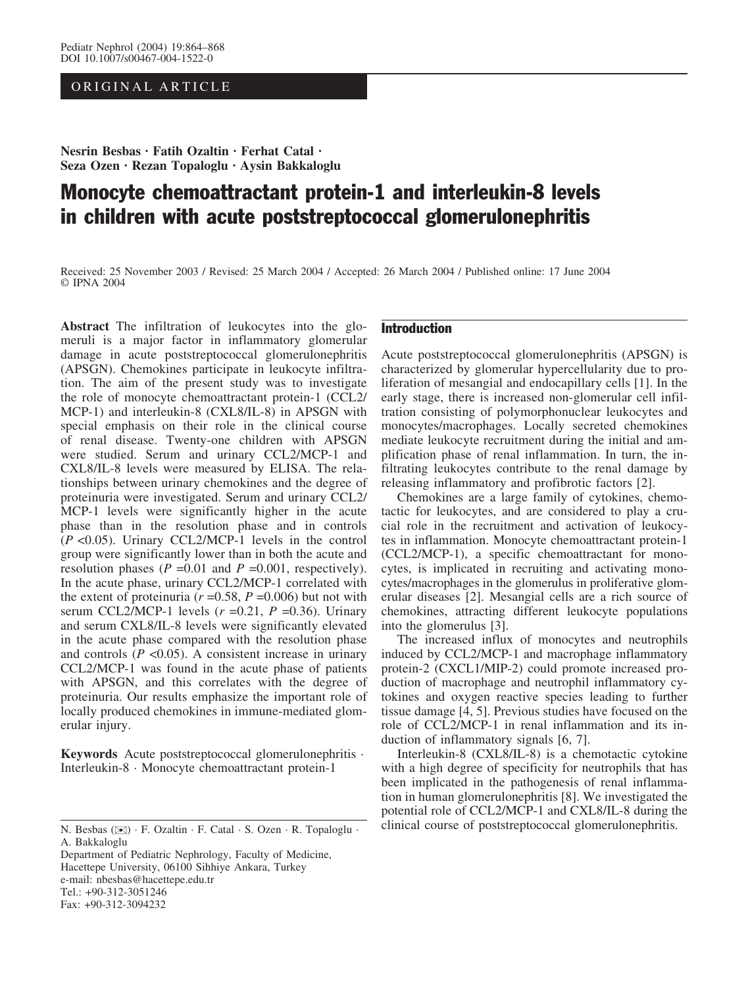# ORIGINAL ARTICLE

Nesrin Besbas · Fatih Ozaltin · Ferhat Catal · Seza Ozen · Rezan Topaloglu · Aysin Bakkaloglu

# Monocyte chemoattractant protein-1 and interleukin-8 levels in children with acute poststreptococcal glomerulonephritis

Received: 25 November 2003 / Revised: 25 March 2004 / Accepted: 26 March 2004 / Published online: 17 June 2004 © IPNA 2004

Abstract The infiltration of leukocytes into the glomeruli is a major factor in inflammatory glomerular damage in acute poststreptococcal glomerulonephritis (APSGN). Chemokines participate in leukocyte infiltration. The aim of the present study was to investigate the role of monocyte chemoattractant protein-1 (CCL2/ MCP-1) and interleukin-8 (CXL8/IL-8) in APSGN with special emphasis on their role in the clinical course of renal disease. Twenty-one children with APSGN were studied. Serum and urinary CCL2/MCP-1 and CXL8/IL-8 levels were measured by ELISA. The relationships between urinary chemokines and the degree of proteinuria were investigated. Serum and urinary CCL2/ MCP-1 levels were significantly higher in the acute phase than in the resolution phase and in controls  $(P<0.05)$ . Urinary CCL2/MCP-1 levels in the control group were significantly lower than in both the acute and resolution phases ( $P = 0.01$  and  $P = 0.001$ , respectively). In the acute phase, urinary CCL2/MCP-1 correlated with the extent of proteinuria ( $r = 0.58$ ,  $P = 0.006$ ) but not with serum CCL2/MCP-1 levels  $(r = 0.21, P = 0.36)$ . Urinary and serum CXL8/IL-8 levels were significantly elevated in the acute phase compared with the resolution phase and controls  $(P \le 0.05)$ . A consistent increase in urinary CCL2/MCP-1 was found in the acute phase of patients with APSGN, and this correlates with the degree of proteinuria. Our results emphasize the important role of locally produced chemokines in immune-mediated glomerular injury.

Keywords Acute poststreptococcal glomerulonephritis · Interleukin-8 · Monocyte chemoattractant protein-1

Department of Pediatric Nephrology, Faculty of Medicine, Hacettepe University, 06100 Sihhiye Ankara, Turkey e-mail: nbesbas@hacettepe.edu.tr Tel.: +90-312-3051246 Fax: +90-312-3094232

# Introduction

Acute poststreptococcal glomerulonephritis (APSGN) is characterized by glomerular hypercellularity due to proliferation of mesangial and endocapillary cells [1]. In the early stage, there is increased non-glomerular cell infiltration consisting of polymorphonuclear leukocytes and monocytes/macrophages. Locally secreted chemokines mediate leukocyte recruitment during the initial and amplification phase of renal inflammation. In turn, the infiltrating leukocytes contribute to the renal damage by releasing inflammatory and profibrotic factors [2].

Chemokines are a large family of cytokines, chemotactic for leukocytes, and are considered to play a crucial role in the recruitment and activation of leukocytes in inflammation. Monocyte chemoattractant protein-1 (CCL2/MCP-1), a specific chemoattractant for monocytes, is implicated in recruiting and activating monocytes/macrophages in the glomerulus in proliferative glomerular diseases [2]. Mesangial cells are a rich source of chemokines, attracting different leukocyte populations into the glomerulus [3].

The increased influx of monocytes and neutrophils induced by CCL2/MCP-1 and macrophage inflammatory protein-2 (CXCL1/MIP-2) could promote increased production of macrophage and neutrophil inflammatory cytokines and oxygen reactive species leading to further tissue damage [4, 5]. Previous studies have focused on the role of CCL2/MCP-1 in renal inflammation and its induction of inflammatory signals [6, 7].

Interleukin-8 (CXL8/IL-8) is a chemotactic cytokine with a high degree of specificity for neutrophils that has been implicated in the pathogenesis of renal inflammation in human glomerulonephritis [8]. We investigated the potential role of CCL2/MCP-1 and CXL8/IL-8 during the clinical course of poststreptococcal glomerulonephritis. N. Besbas (*)*) · F. Ozaltin · F. Catal · S. Ozen · R. Topaloglu ·

A. Bakkaloglu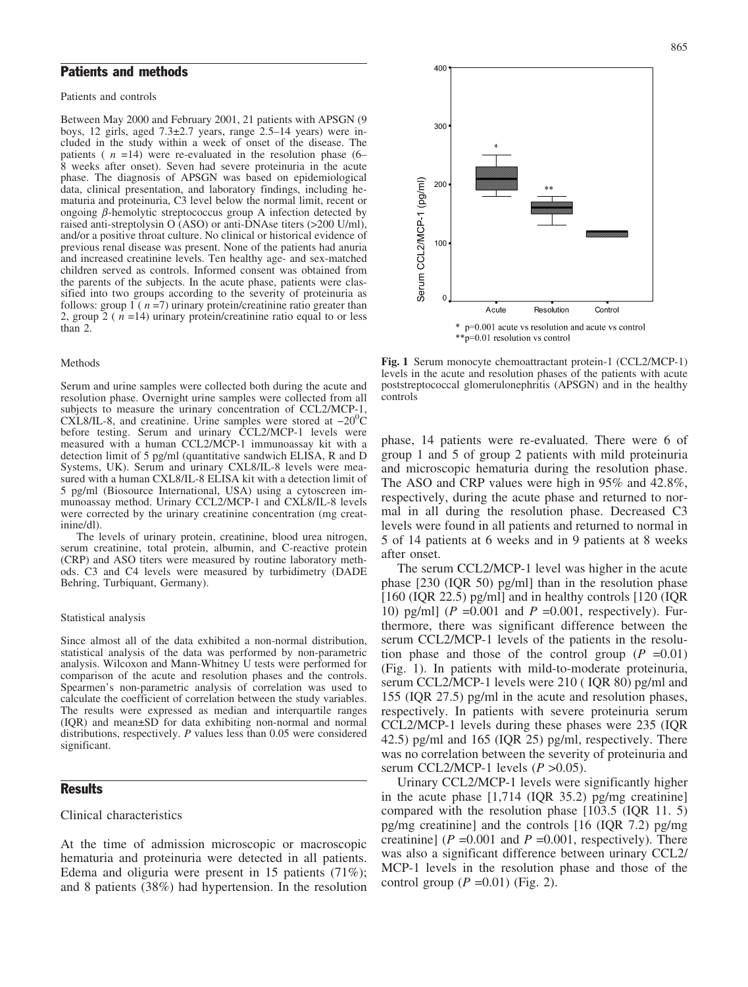## Patients and methods

Patients and controls

Between May 2000 and February 2001, 21 patients with APSGN (9 boys, 12 girls, aged  $7.3\pm2.7$  years, range  $2.5-14$  years) were included in the study within a week of onset of the disease. The patients ( $n = 14$ ) were re-evaluated in the resolution phase (6– 8 weeks after onset). Seven had severe proteinuria in the acute phase. The diagnosis of APSGN was based on epidemiological data, clinical presentation, and laboratory findings, including hematuria and proteinuria, C3 level below the normal limit, recent or ongoing  $\beta$ -hemolytic streptococcus group A infection detected by raised anti-streptolysin O (ASO) or anti-DNAse titers (>200 U/ml), and/or a positive throat culture. No clinical or historical evidence of previous renal disease was present. None of the patients had anuria and increased creatinine levels. Ten healthy age- and sex-matched children served as controls. Informed consent was obtained from the parents of the subjects. In the acute phase, patients were classified into two groups according to the severity of proteinuria as follows: group 1 ( $n = 7$ ) urinary protein/creatinine ratio greater than 2, group 2 ( $n = 14$ ) urinary protein/creatinine ratio equal to or less than 2.

#### Methods

Serum and urine samples were collected both during the acute and resolution phase. Overnight urine samples were collected from all subjects to measure the urinary concentration of CCL2/MCP-1, CXL8/IL-8, and creatinine. Urine samples were stored at  $-20^{\circ}$ C before testing. Serum and urinary CCL2/MCP-1 levels were measured with a human CCL2/MCP-1 immunoassay kit with a detection limit of 5 pg/ml (quantitative sandwich ELISA, R and D Systems, UK). Serum and urinary CXL8/IL-8 levels were measured with a human CXL8/IL-8 ELISA kit with a detection limit of 5 pg/ml (Biosource International, USA) using a cytoscreen immunoassay method. Urinary CCL2/MCP-1 and CXL8/IL-8 levels were corrected by the urinary creatinine concentration (mg creatinine/dl).

The levels of urinary protein, creatinine, blood urea nitrogen, serum creatinine, total protein, albumin, and C-reactive protein (CRP) and ASO titers were measured by routine laboratory methods. C3 and C4 levels were measured by turbidimetry (DADE Behring, Turbiquant, Germany).

#### Statistical analysis

Since almost all of the data exhibited a non-normal distribution, statistical analysis of the data was performed by non-parametric analysis. Wilcoxon and Mann-Whitney U tests were performed for comparison of the acute and resolution phases and the controls. Spearmen's non-parametric analysis of correlation was used to calculate the coefficient of correlation between the study variables. The results were expressed as median and interquartile ranges  $(IQR)$  and mean $\pm SD$  for data exhibiting non-normal and normal distributions, respectively. P values less than 0.05 were considered significant.

# **Results**

### Clinical characteristics

At the time of admission microscopic or macroscopic hematuria and proteinuria were detected in all patients. Edema and oliguria were present in 15 patients (71%); and 8 patients (38%) had hypertension. In the resolution



Fig. 1 Serum monocyte chemoattractant protein-1 (CCL2/MCP-1) levels in the acute and resolution phases of the patients with acute poststreptococcal glomerulonephritis (APSGN) and in the healthy controls

phase, 14 patients were re-evaluated. There were 6 of group 1 and 5 of group 2 patients with mild proteinuria and microscopic hematuria during the resolution phase. The ASO and CRP values were high in 95% and 42.8%, respectively, during the acute phase and returned to normal in all during the resolution phase. Decreased C3 levels were found in all patients and returned to normal in 5 of 14 patients at 6 weeks and in 9 patients at 8 weeks after onset.

The serum CCL2/MCP-1 level was higher in the acute phase [230 (IQR 50) pg/ml] than in the resolution phase  $[160 (IQR 22.5)$  pg/ml] and in healthy controls  $[120 (IQR 16.01)]$ 10) pg/ml] ( $P = 0.001$  and  $P = 0.001$ , respectively). Furthermore, there was significant difference between the serum CCL2/MCP-1 levels of the patients in the resolution phase and those of the control group  $(P = 0.01)$ (Fig. 1). In patients with mild-to-moderate proteinuria, serum CCL2/MCP-1 levels were 210 ( IQR 80) pg/ml and 155 (IQR 27.5) pg/ml in the acute and resolution phases, respectively. In patients with severe proteinuria serum CCL2/MCP-1 levels during these phases were 235 (IQR 42.5) pg/ml and 165 (IQR 25) pg/ml, respectively. There was no correlation between the severity of proteinuria and serum CCL2/MCP-1 levels  $(P > 0.05)$ .

Urinary CCL2/MCP-1 levels were significantly higher in the acute phase [1,714 (IQR 35.2) pg/mg creatinine] compared with the resolution phase [103.5 (IQR 11. 5) pg/mg creatinine] and the controls [16 (IQR 7.2) pg/mg creatinine] ( $P = 0.001$  and  $P = 0.001$ , respectively). There was also a significant difference between urinary CCL2/ MCP-1 levels in the resolution phase and those of the control group  $(P = 0.01)$  (Fig. 2).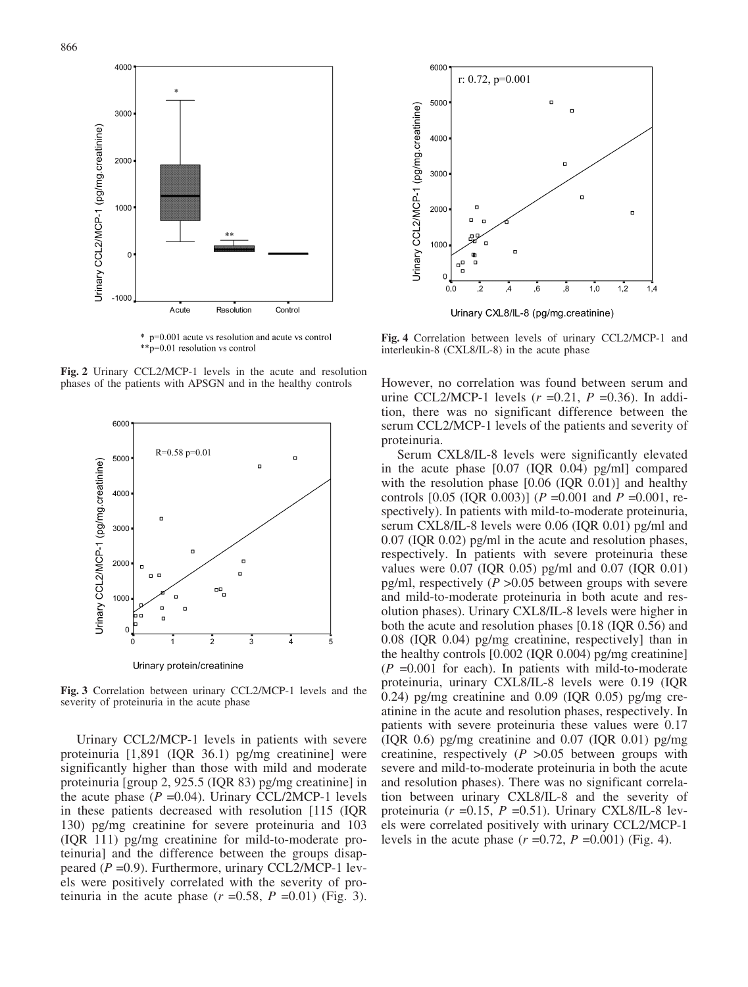

\* p=0.001 acute vs resolution and acute vs control \*\* p=0.01 resolution vs control

Fig. 2 Urinary CCL2/MCP-1 levels in the acute and resolution phases of the patients with APSGN and in the healthy controls



Fig. 3 Correlation between urinary CCL2/MCP-1 levels and the severity of proteinuria in the acute phase

Urinary CCL2/MCP-1 levels in patients with severe proteinuria [1,891 (IQR 36.1) pg/mg creatinine] were significantly higher than those with mild and moderate proteinuria [group 2, 925.5 (IQR 83) pg/mg creatinine] in the acute phase  $(P = 0.04)$ . Urinary CCL/2MCP-1 levels in these patients decreased with resolution [115 (IQR 130) pg/mg creatinine for severe proteinuria and 103 (IQR 111) pg/mg creatinine for mild-to-moderate proteinuria] and the difference between the groups disappeared  $(P = 0.9)$ . Furthermore, urinary CCL2/MCP-1 levels were positively correlated with the severity of proteinuria in the acute phase  $(r = 0.58, P = 0.01)$  (Fig. 3).



Fig. 4 Correlation between levels of urinary CCL2/MCP-1 and interleukin-8 (CXL8/IL-8) in the acute phase

However, no correlation was found between serum and urine CCL2/MCP-1 levels  $(r=0.21, P=0.36)$ . In addition, there was no significant difference between the serum CCL2/MCP-1 levels of the patients and severity of proteinuria.

Serum CXL8/IL-8 levels were significantly elevated in the acute phase [0.07 (IQR 0.04) pg/ml] compared with the resolution phase [0.06 (IQR 0.01)] and healthy controls  $[0.05 \text{ (IQR } 0.003)]$  (P = 0.001 and P = 0.001, respectively). In patients with mild-to-moderate proteinuria, serum CXL8/IL-8 levels were 0.06 (IQR 0.01) pg/ml and 0.07 (IQR 0.02) pg/ml in the acute and resolution phases, respectively. In patients with severe proteinuria these values were 0.07 (IQR 0.05) pg/ml and 0.07 (IQR 0.01) pg/ml, respectively ( $P > 0.05$  between groups with severe and mild-to-moderate proteinuria in both acute and resolution phases). Urinary CXL8/IL-8 levels were higher in both the acute and resolution phases [0.18 (IQR 0.56) and 0.08 (IQR 0.04) pg/mg creatinine, respectively] than in the healthy controls [0.002 (IQR 0.004) pg/mg creatinine]  $(P = 0.001$  for each). In patients with mild-to-moderate proteinuria, urinary CXL8/IL-8 levels were 0.19 (IQR 0.24) pg/mg creatinine and 0.09 (IQR 0.05) pg/mg creatinine in the acute and resolution phases, respectively. In patients with severe proteinuria these values were 0.17  $(IOR 0.6)$  pg/mg creatinine and  $(0.07 (IOR 0.01)$  pg/mg creatinine, respectively  $(P > 0.05)$  between groups with severe and mild-to-moderate proteinuria in both the acute and resolution phases). There was no significant correlation between urinary CXL8/IL-8 and the severity of proteinuria ( $r = 0.15$ ,  $P = 0.51$ ). Urinary CXL8/IL-8 levels were correlated positively with urinary CCL2/MCP-1 levels in the acute phase  $(r=0.72, P=0.001)$  (Fig. 4).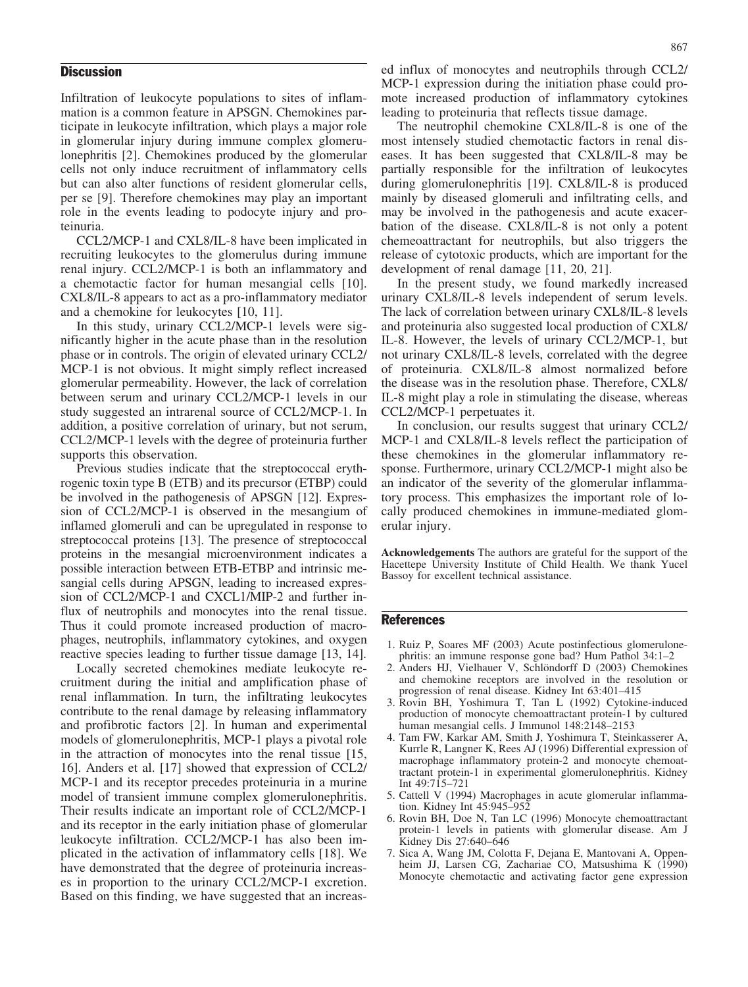#### **Discussion**

Infiltration of leukocyte populations to sites of inflammation is a common feature in APSGN. Chemokines participate in leukocyte infiltration, which plays a major role in glomerular injury during immune complex glomerulonephritis [2]. Chemokines produced by the glomerular cells not only induce recruitment of inflammatory cells but can also alter functions of resident glomerular cells, per se [9]. Therefore chemokines may play an important role in the events leading to podocyte injury and proteinuria.

CCL2/MCP-1 and CXL8/IL-8 have been implicated in recruiting leukocytes to the glomerulus during immune renal injury. CCL2/MCP-1 is both an inflammatory and a chemotactic factor for human mesangial cells [10]. CXL8/IL-8 appears to act as a pro-inflammatory mediator and a chemokine for leukocytes [10, 11].

In this study, urinary CCL2/MCP-1 levels were significantly higher in the acute phase than in the resolution phase or in controls. The origin of elevated urinary CCL2/ MCP-1 is not obvious. It might simply reflect increased glomerular permeability. However, the lack of correlation between serum and urinary CCL2/MCP-1 levels in our study suggested an intrarenal source of CCL2/MCP-1. In addition, a positive correlation of urinary, but not serum, CCL2/MCP-1 levels with the degree of proteinuria further supports this observation.

Previous studies indicate that the streptococcal erythrogenic toxin type B (ETB) and its precursor (ETBP) could be involved in the pathogenesis of APSGN [12]. Expression of CCL2/MCP-1 is observed in the mesangium of inflamed glomeruli and can be upregulated in response to streptococcal proteins [13]. The presence of streptococcal proteins in the mesangial microenvironment indicates a possible interaction between ETB-ETBP and intrinsic mesangial cells during APSGN, leading to increased expression of CCL2/MCP-1 and CXCL1/MIP-2 and further influx of neutrophils and monocytes into the renal tissue. Thus it could promote increased production of macrophages, neutrophils, inflammatory cytokines, and oxygen reactive species leading to further tissue damage [13, 14].

Locally secreted chemokines mediate leukocyte recruitment during the initial and amplification phase of renal inflammation. In turn, the infiltrating leukocytes contribute to the renal damage by releasing inflammatory and profibrotic factors [2]. In human and experimental models of glomerulonephritis, MCP-1 plays a pivotal role in the attraction of monocytes into the renal tissue [15, 16]. Anders et al. [17] showed that expression of CCL2/ MCP-1 and its receptor precedes proteinuria in a murine model of transient immune complex glomerulonephritis. Their results indicate an important role of CCL2/MCP-1 and its receptor in the early initiation phase of glomerular leukocyte infiltration. CCL2/MCP-1 has also been implicated in the activation of inflammatory cells [18]. We have demonstrated that the degree of proteinuria increases in proportion to the urinary CCL2/MCP-1 excretion. Based on this finding, we have suggested that an increas-

ed influx of monocytes and neutrophils through CCL2/ MCP-1 expression during the initiation phase could promote increased production of inflammatory cytokines leading to proteinuria that reflects tissue damage.

The neutrophil chemokine CXL8/IL-8 is one of the most intensely studied chemotactic factors in renal diseases. It has been suggested that CXL8/IL-8 may be partially responsible for the infiltration of leukocytes during glomerulonephritis [19]. CXL8/IL-8 is produced mainly by diseased glomeruli and infiltrating cells, and may be involved in the pathogenesis and acute exacerbation of the disease. CXL8/IL-8 is not only a potent chemeoattractant for neutrophils, but also triggers the release of cytotoxic products, which are important for the development of renal damage [11, 20, 21].

In the present study, we found markedly increased urinary CXL8/IL-8 levels independent of serum levels. The lack of correlation between urinary CXL8/IL-8 levels and proteinuria also suggested local production of CXL8/ IL-8. However, the levels of urinary CCL2/MCP-1, but not urinary CXL8/IL-8 levels, correlated with the degree of proteinuria. CXL8/IL-8 almost normalized before the disease was in the resolution phase. Therefore, CXL8/ IL-8 might play a role in stimulating the disease, whereas CCL2/MCP-1 perpetuates it.

In conclusion, our results suggest that urinary CCL2/ MCP-1 and CXL8/IL-8 levels reflect the participation of these chemokines in the glomerular inflammatory response. Furthermore, urinary CCL2/MCP-1 might also be an indicator of the severity of the glomerular inflammatory process. This emphasizes the important role of locally produced chemokines in immune-mediated glomerular injury.

Acknowledgements The authors are grateful for the support of the Hacettepe University Institute of Child Health. We thank Yucel Bassoy for excellent technical assistance.

## **References**

- 1. Ruiz P, Soares MF (2003) Acute postinfectious glomerulonephritis: an immune response gone bad? Hum Pathol 34:1–2
- 2. Anders HJ, Vielhauer V, Schlöndorff D (2003) Chemokines and chemokine receptors are involved in the resolution or progression of renal disease. Kidney Int 63:401–415
- 3. Rovin BH, Yoshimura T, Tan L (1992) Cytokine-induced production of monocyte chemoattractant protein-1 by cultured human mesangial cells. J Immunol 148:2148–2153
- 4. Tam FW, Karkar AM, Smith J, Yoshimura T, Steinkasserer A, Kurrle R, Langner K, Rees AJ (1996) Differential expression of macrophage inflammatory protein-2 and monocyte chemoattractant protein-1 in experimental glomerulonephritis. Kidney Int 49:715–721
- 5. Cattell V (1994) Macrophages in acute glomerular inflammation. Kidney Int 45:945–952
- 6. Rovin BH, Doe N, Tan LC (1996) Monocyte chemoattractant protein-1 levels in patients with glomerular disease. Am J Kidney Dis 27:640–646
- 7. Sica A, Wang JM, Colotta F, Dejana E, Mantovani A, Oppenheim JJ, Larsen CG, Zachariae CO, Matsushima K (1990) Monocyte chemotactic and activating factor gene expression